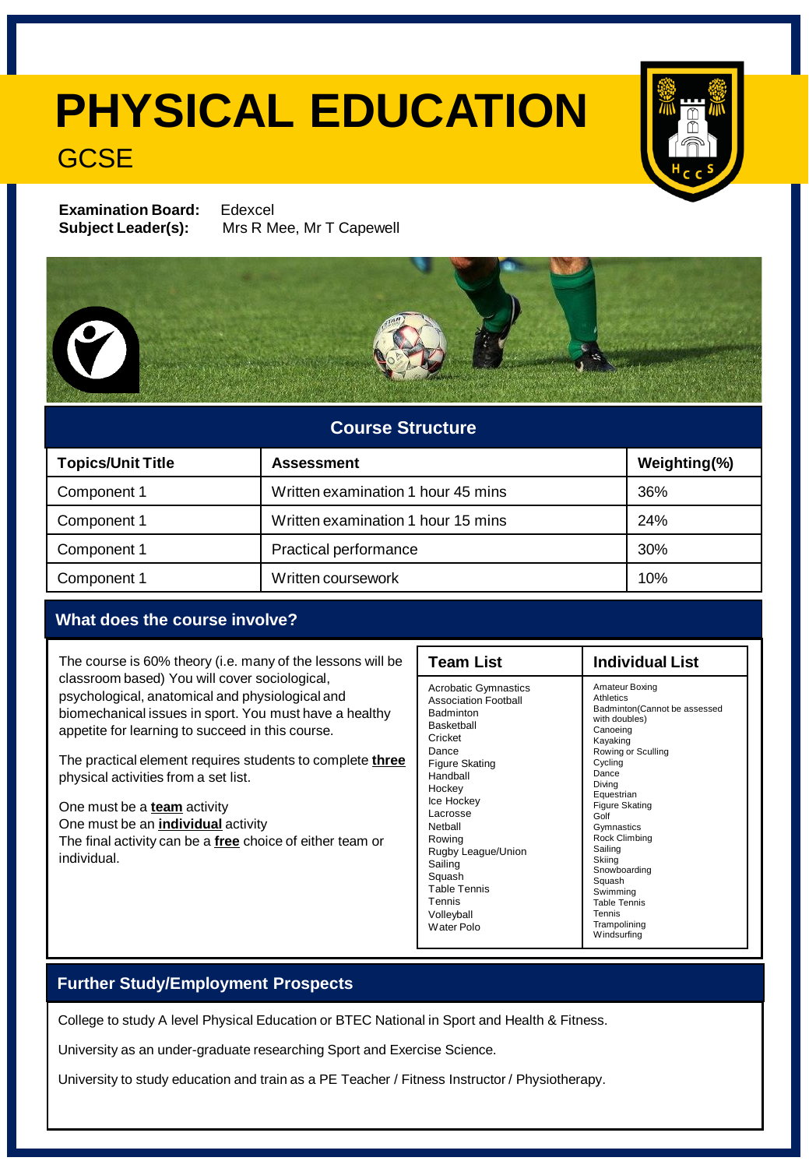# **PHYSICAL EDUCATION**

### **GCSE**

**Examination Board:** Edexcel **Subject Leader(s):** Mrs R Mee, Mr T Capewell



### **Course Structure**

| <b>Topics/Unit Title</b> | <b>Assessment</b>                  | Weighting(%) |
|--------------------------|------------------------------------|--------------|
| Component 1              | Written examination 1 hour 45 mins | 36%          |
| Component 1              | Written examination 1 hour 15 mins | 24%          |
| Component 1              | Practical performance              | 30%          |
| Component 1              | Written coursework                 | 10%          |

#### **What does the course involve?**

The course is 60% theory (i.e. many of the lessons will be classroom based) You will cover sociological, psychological, anatomical and physiological and biomechanical issues in sport. You must have a healthy appetite for learning to succeed in this course.

The practical element requires students to complete **three** physical activities from a set list.

One must be a **team** activity One must be an **individual** activity The final activity can be a **free** choice of either team or individual.

| <b>Team List</b>                                                                                                                                                                                                                                                                                                       | <b>Individual List</b>                                                                                                                                                                                                                                                                                                                                            |
|------------------------------------------------------------------------------------------------------------------------------------------------------------------------------------------------------------------------------------------------------------------------------------------------------------------------|-------------------------------------------------------------------------------------------------------------------------------------------------------------------------------------------------------------------------------------------------------------------------------------------------------------------------------------------------------------------|
| <b>Acrobatic Gymnastics</b><br><b>Association Football</b><br><b>Badminton</b><br><b>Basketball</b><br>Cricket<br>Dance<br>Figure Skating<br>Handball<br>Hockey<br>Ice Hockey<br>Lacrosse<br>Nethall<br>Rowing<br>Rugby League/Union<br>Sailing<br>Squash<br><b>Table Tennis</b><br>Tennis<br>Volleyball<br>Water Polo | Amateur Boxing<br>Athletics<br>Badminton(Cannot be assessed<br>with doubles)<br>Canoeing<br>Kayaking<br>Rowing or Sculling<br>Cycling<br>Dance<br>Diving<br>Equestrian<br><b>Figure Skating</b><br>Golf<br>Gymnastics<br>Rock Climbing<br>Sailing<br>Skiing<br>Snowboarding<br>Squash<br>Swimming<br><b>Table Tennis</b><br>Tennis<br>Trampolining<br>Windsurfing |

### **Further Study/Employment Prospects**

College to study A level Physical Education or BTEC National in Sport and Health & Fitness.

University as an under-graduate researching Sport and Exercise Science.

University to study education and train as a PE Teacher / Fitness Instructor / Physiotherapy.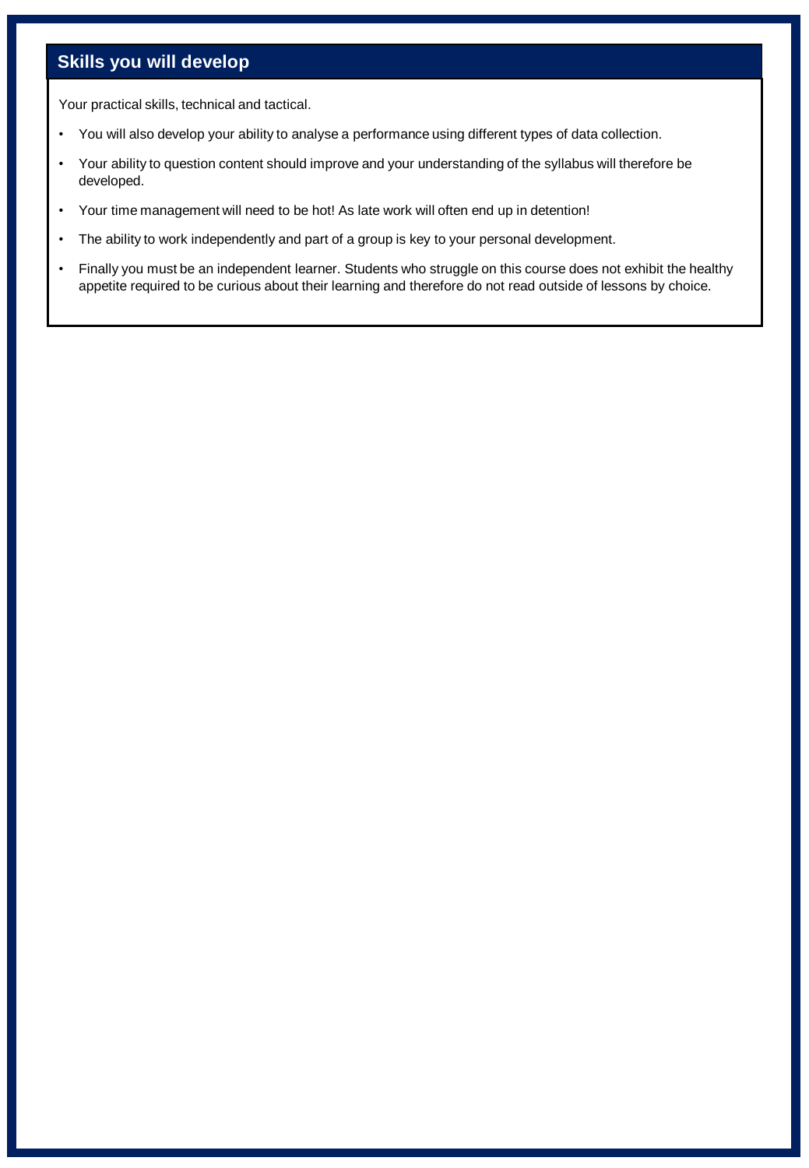### **Skills you will develop**

Your practical skills, technical and tactical.

- You will also develop your ability to analyse a performance using different types of data collection.
- Your ability to question content should improve and your understanding of the syllabus will therefore be developed.
- Your time management will need to be hot! As late work will often end up in detention!
- The ability to work independently and part of a group is key to your personal development.
- Finally you must be an independent learner. Students who struggle on this course does not exhibit the healthy appetite required to be curious about their learning and therefore do not read outside of lessons by choice.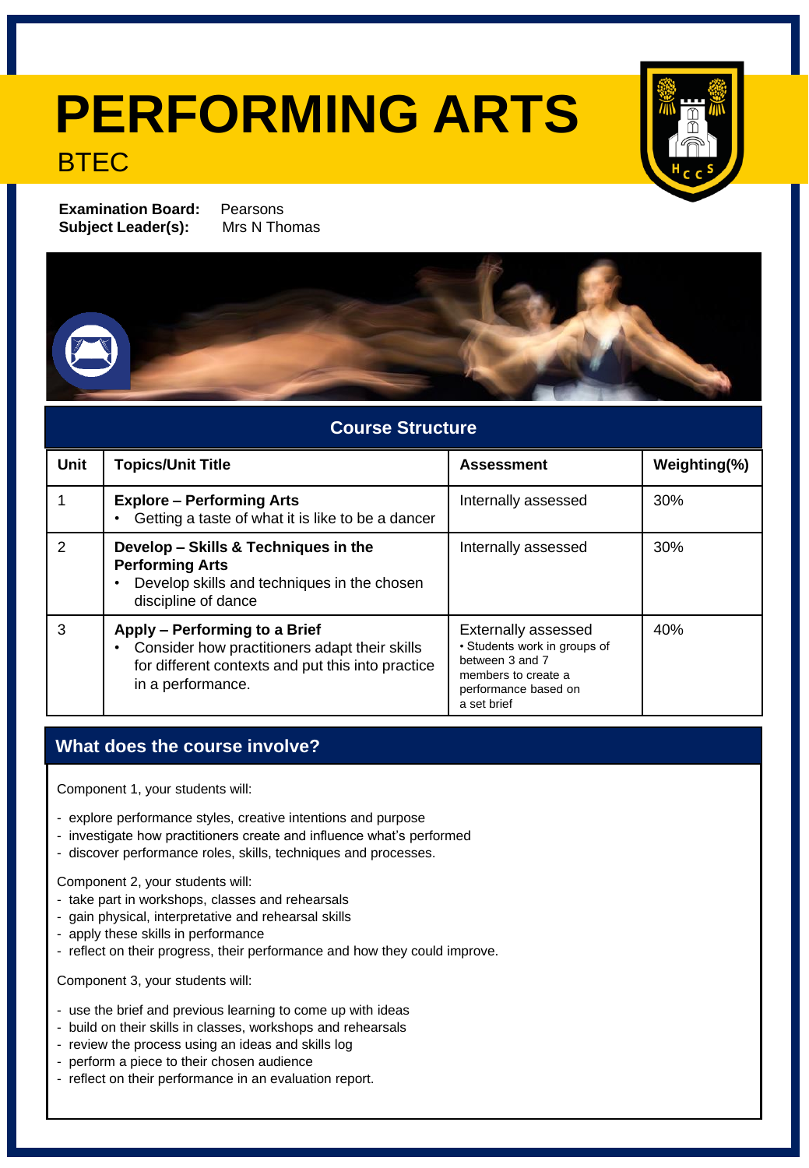## **PERFORMING ARTS BTFC**



**Examination Board:** Pearsons **Subject Leader(s):** Mrs N Thomas

### **Course Structure**

| Unit          | <b>Topics/Unit Title</b>                                                                                                                                 | <b>Assessment</b>                                                                                                                           | Weighting(%) |
|---------------|----------------------------------------------------------------------------------------------------------------------------------------------------------|---------------------------------------------------------------------------------------------------------------------------------------------|--------------|
|               | <b>Explore - Performing Arts</b><br>Getting a taste of what it is like to be a dancer                                                                    | Internally assessed                                                                                                                         | 30%          |
| $\mathcal{P}$ | Develop - Skills & Techniques in the<br><b>Performing Arts</b><br>Develop skills and techniques in the chosen<br>discipline of dance                     | Internally assessed                                                                                                                         | 30%          |
| 3             | Apply - Performing to a Brief<br>Consider how practitioners adapt their skills<br>for different contexts and put this into practice<br>in a performance. | <b>Externally assessed</b><br>• Students work in groups of<br>between 3 and 7<br>members to create a<br>performance based on<br>a set brief | 40%          |

### **What does the course involve?**

Component 1, your students will:

- explore performance styles, creative intentions and purpose
- investigate how practitioners create and influence what's performed
- discover performance roles, skills, techniques and processes.

Component 2, your students will:

- take part in workshops, classes and rehearsals
- gain physical, interpretative and rehearsal skills
- apply these skills in performance
- reflect on their progress, their performance and how they could improve.

Component 3, your students will:

- use the brief and previous learning to come up with ideas
- build on their skills in classes, workshops and rehearsals
- review the process using an ideas and skills log
- perform a piece to their chosen audience
- reflect on their performance in an evaluation report.